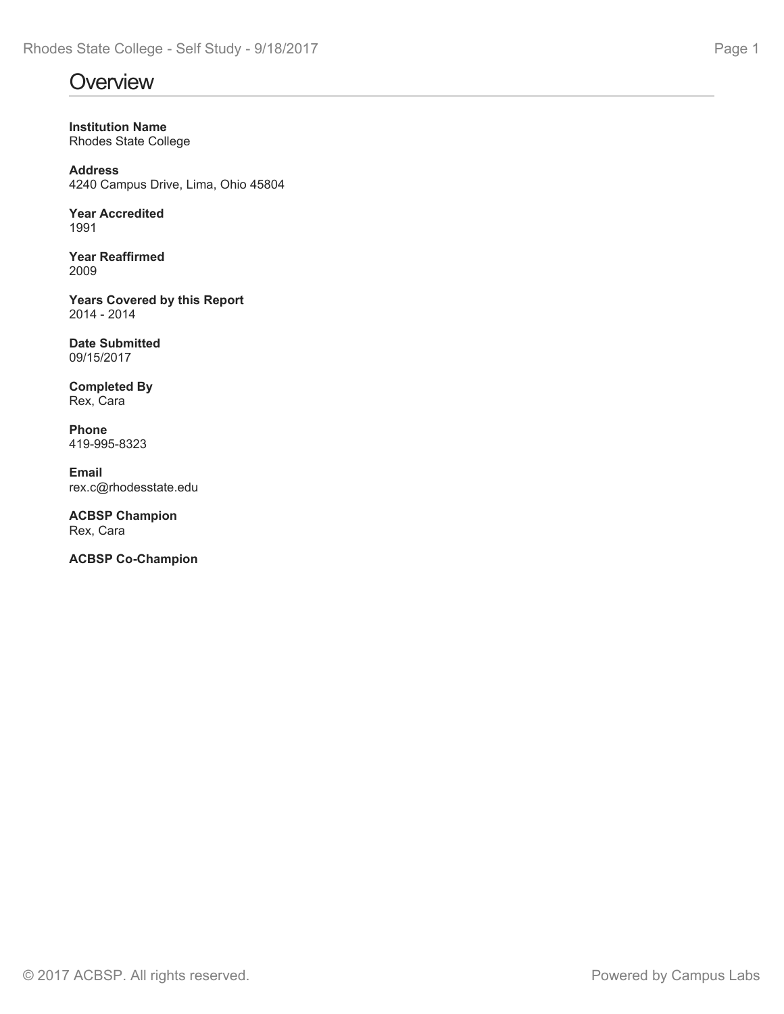# **Overview Overview COVER 2006 COVERVIEW**

**Institution Name** Rhodes State College

**Address** 4240 Campus Drive, Lima, Ohio 45804

Year Accredited<br>1991 1991

**Year Reaffirmed** 2009

**Years Covered by this Report** 2014 - 2014

**Date Submitted** 09/15/2017

**Completed By** Rex, Cara

**Phone** 419-995-8323

**Email** rex.c@rhodesstate.edu

**ACBSP Champion** Rex, Cara

**ACBSP Co-Champion**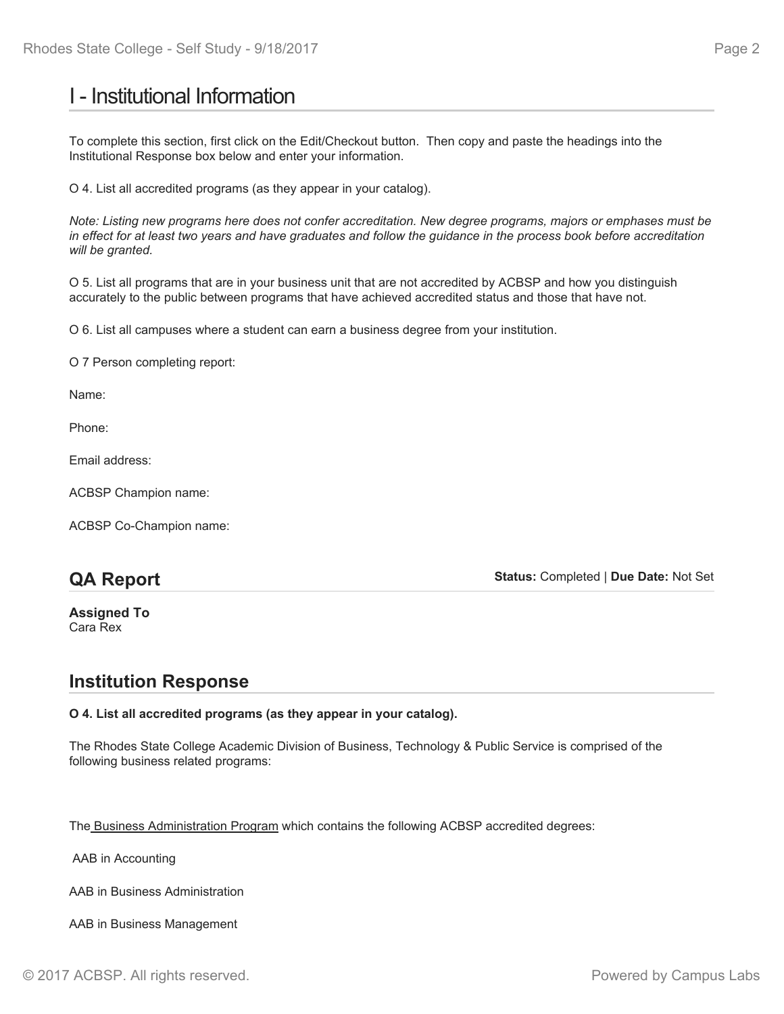# I - Institutional Information

To complete this section, first click on the Edit/Checkout button. Then copy and paste the headings into the Institutional Response box below and enter your information.

O 4. List all accredited programs (as they appear in your catalog).

*Note: Listing new programs here does not confer accreditation. New degree programs, majors or emphases must be in effect for at least two years and have graduates and follow the guidance in the process book before accreditation will be granted.*

O 5. List all programs that are in your business unit that are not accredited by ACBSP and how you distinguish accurately to the public between programs that have achieved accredited status and those that have not.

O 6. List all campuses where a student can earn a business degree from your institution.

O 7 Person completing report:

Name:

Phone:

Email address:

ACBSP Champion name:

ACBSP Co-Champion name:

## **QA Report**

**Status:** Completed | **Due Date:** Not Set

**Assigned To** Cara Rex

### **Institution Response**

### **O 4. List all accredited programs (as they appear in your catalog).**

The Rhodes State College Academic Division of Business, Technology & Public Service is comprised of the following business related programs:

The Business Administration Program which contains the following ACBSP accredited degrees:

AAB in Accounting

AAB in Business Administration

AAB in Business Management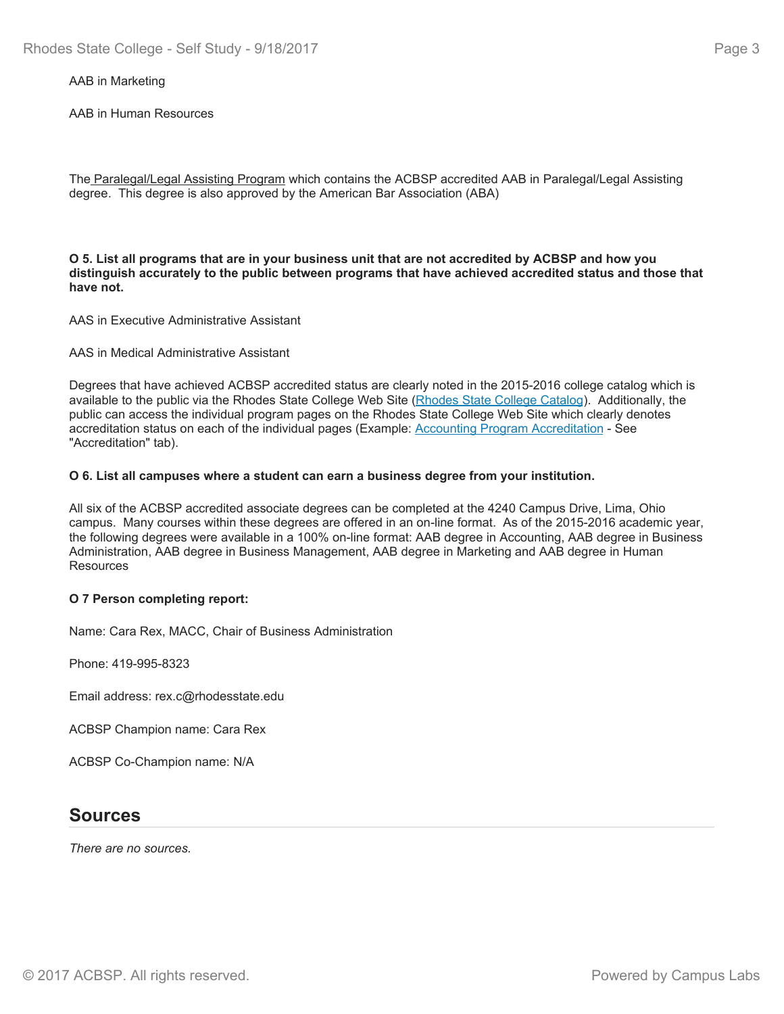### AAB in Marketing

AAB in Human Resources

The Paralegal/Legal Assisting Program which contains the ACBSP accredited AAB in Paralegal/Legal Assisting degree. This degree is also approved by the American Bar Association (ABA)

**O 5. List all programs that are in your business unit that are not accredited by ACBSP and how you distinguish accurately to the public between programs that have achieved accredited status and those that have not.**

AAS in Executive Administrative Assistant

#### AAS in Medical Administrative Assistant

Degrees that have achieved ACBSP accredited status are clearly noted in the 2015-2016 college catalog which is available to the public via the Rhodes State College Web Site (Rhodes State College Catalog). Additionally, the public can access the individual program pages on the Rhodes State College Web Site which clearly denotes accreditation status on each of the individual pages (Example: Accounting Program Accreditation - See "Accreditation" tab).

#### **O 6. List all campuses where a student can earn a business degree from your institution.**

All six of the ACBSP accredited associate degrees can be completed at the 4240 Campus Drive, Lima, Ohio campus. Many courses within these degrees are offered in an on-line format. As of the 2015-2016 academic year, the following degrees were available in a 100% on-line format: AAB degree in Accounting, AAB degree in Business Administration, AAB degree in Business Management, AAB degree in Marketing and AAB degree in Human **Resources** 

### **O 7 Person completing report:**

Name: Cara Rex, MACC, Chair of Business Administration

Phone: 419-995-8323

Email address: rex.c@rhodesstate.edu

ACBSP Champion name: Cara Rex

ACBSP Co-Champion name: N/A

### **Sources**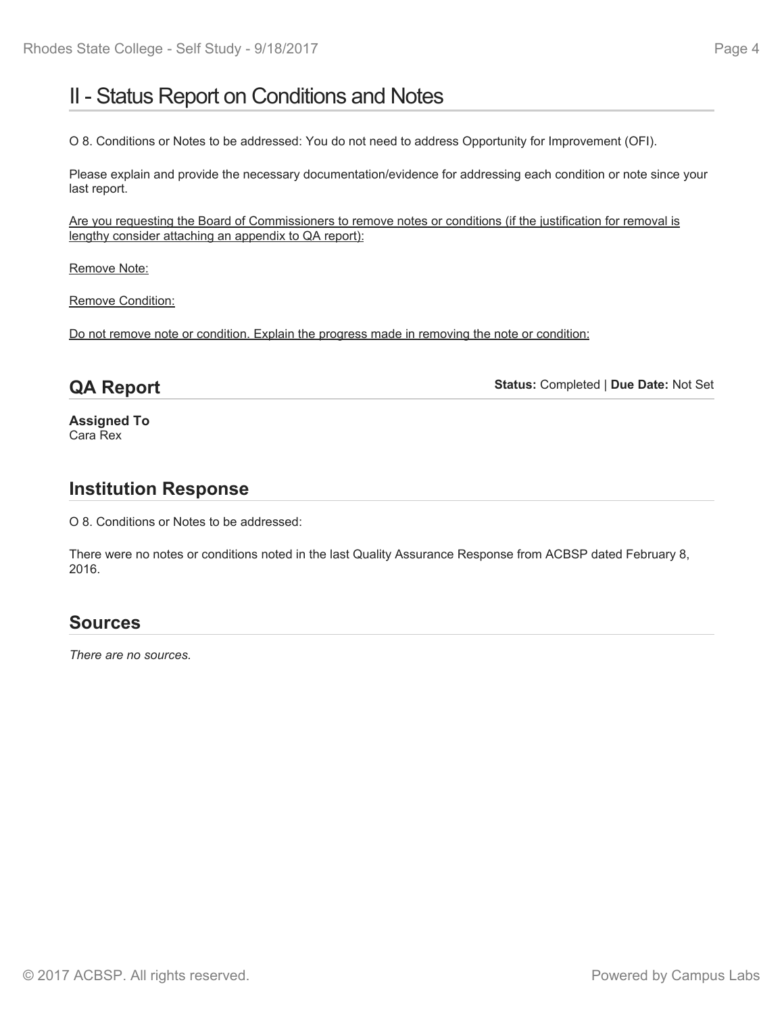# II - Status Report on Conditions and Notes

O 8. Conditions or Notes to be addressed: You do not need to address Opportunity for Improvement (OFI).

Please explain and provide the necessary documentation/evidence for addressing each condition or note since your last report.

Are you requesting the Board of Commissioners to remove notes or conditions (if the justification for removal is lengthy consider attaching an appendix to QA report):

Remove Note:

Remove Condition:

Do not remove note or condition. Explain the progress made in removing the note or condition:

## **QA Report**

**Status:** Completed | **Due Date:** Not Set

**Assigned To** Cara Rex

## **Institution Response**

O 8. Conditions or Notes to be addressed:

There were no notes or conditions noted in the last Quality Assurance Response from ACBSP dated February 8, 2016.

# **Sources**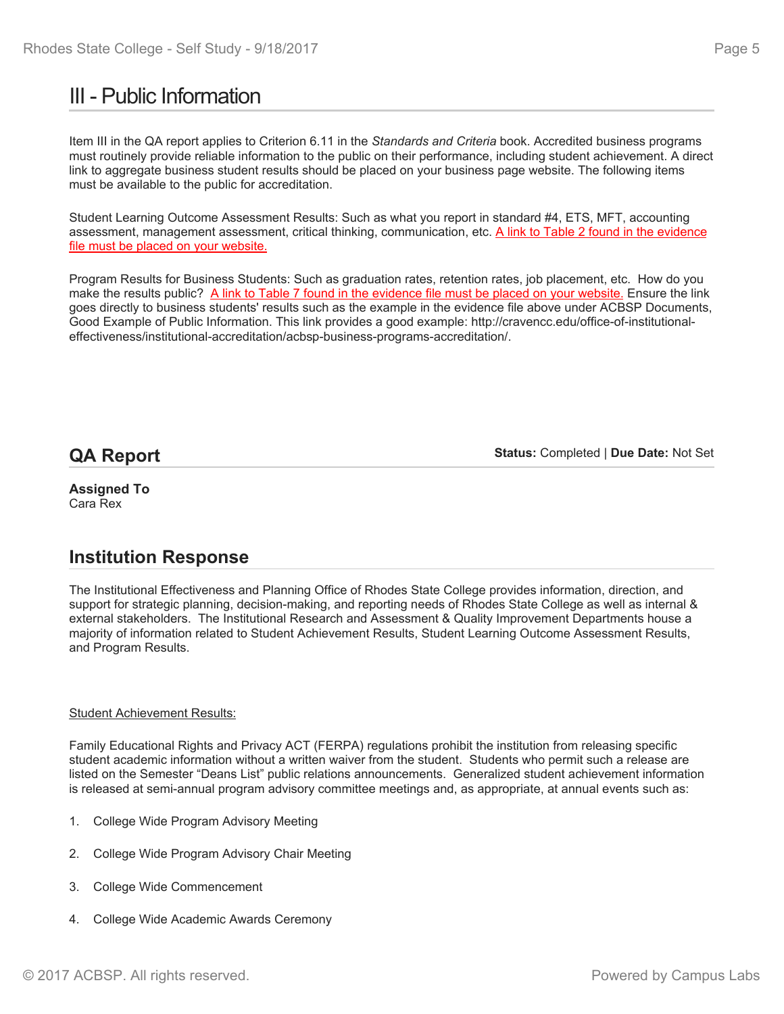# III - Public Information

Item III in the QA report applies to Criterion 6.11 in the *Standards and Criteria* book. Accredited business programs must routinely provide reliable information to the public on their performance, including student achievement. A direct link to aggregate business student results should be placed on your business page website. The following items must be available to the public for accreditation.

Student Learning Outcome Assessment Results: Such as what you report in standard #4, ETS, MFT, accounting assessment, management assessment, critical thinking, communication, etc. A link to Table 2 found in the evidence file must be placed on your website.

Program Results for Business Students: Such as graduation rates, retention rates, job placement, etc. How do you make the results public? A link to Table 7 found in the evidence file must be placed on your website. Ensure the link goes directly to business students' results such as the example in the evidence file above under ACBSP Documents, Good Example of Public Information. This link provides a good example: http://cravencc.edu/office-of-institutionaleffectiveness/institutional-accreditation/acbsp-business-programs-accreditation/.

## **QA Report**

**Status:** Completed | **Due Date:** Not Set

**Assigned To** Cara Rex

# **Institution Response**

The Institutional Effectiveness and Planning Office of Rhodes State College provides information, direction, and support for strategic planning, decision-making, and reporting needs of Rhodes State College as well as internal & external stakeholders. The Institutional Research and Assessment & Quality Improvement Departments house a majority of information related to Student Achievement Results, Student Learning Outcome Assessment Results, and Program Results.

### Student Achievement Results:

Family Educational Rights and Privacy ACT (FERPA) regulations prohibit the institution from releasing specific student academic information without a written waiver from the student. Students who permit such a release are listed on the Semester "Deans List" public relations announcements. Generalized student achievement information is released at semi-annual program advisory committee meetings and, as appropriate, at annual events such as:

- 1. College Wide Program Advisory Meeting
- 2. College Wide Program Advisory Chair Meeting
- 3. College Wide Commencement
- 4. College Wide Academic Awards Ceremony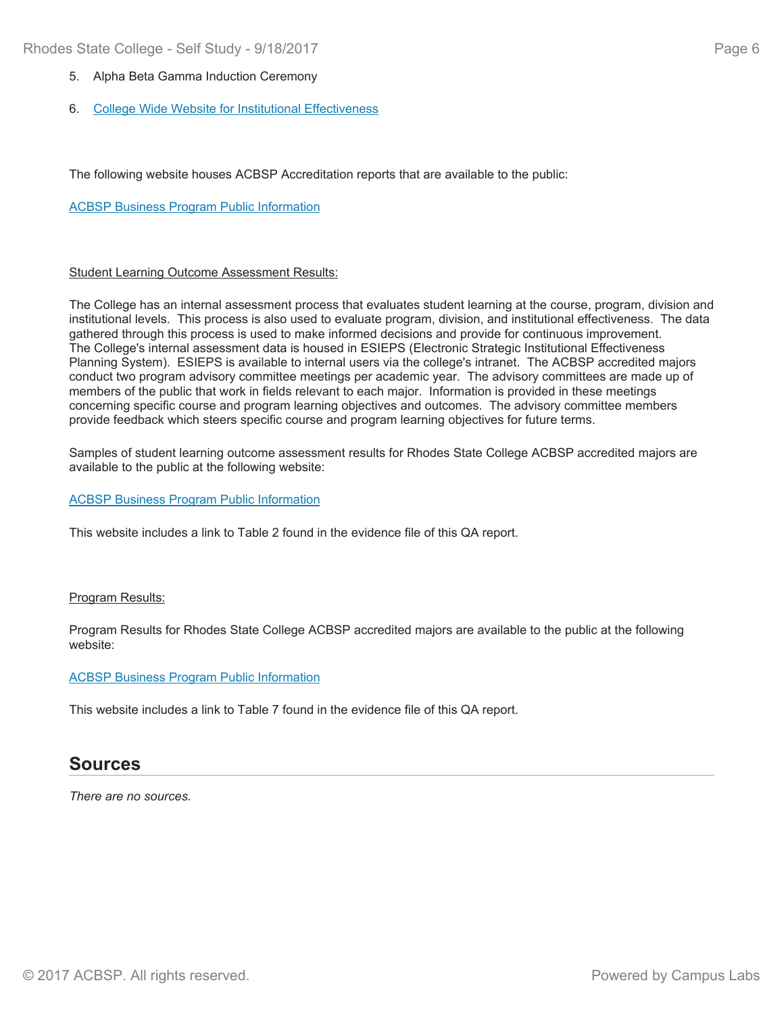- 5. Alpha Beta Gamma Induction Ceremony
- 6. College Wide Website for Institutional Effectiveness

The following website houses ACBSP Accreditation reports that are available to the public:

### ACBSP Business Program Public Information

### Student Learning Outcome Assessment Results:

The College has an internal assessment process that evaluates student learning at the course, program, division and institutional levels. This process is also used to evaluate program, division, and institutional effectiveness. The data gathered through this process is used to make informed decisions and provide for continuous improvement. The College's internal assessment data is housed in ESIEPS (Electronic Strategic Institutional Effectiveness Planning System). ESIEPS is available to internal users via the college's intranet. The ACBSP accredited majors conduct two program advisory committee meetings per academic year. The advisory committees are made up of members of the public that work in fields relevant to each major. Information is provided in these meetings concerning specific course and program learning objectives and outcomes. The advisory committee members provide feedback which steers specific course and program learning objectives for future terms.

Samples of student learning outcome assessment results for Rhodes State College ACBSP accredited majors are available to the public at the following website:

### ACBSP Business Program Public Information

This website includes a link to Table 2 found in the evidence file of this QA report.

#### Program Results:

Program Results for Rhodes State College ACBSP accredited majors are available to the public at the following website:

#### ACBSP Business Program Public Information

This website includes a link to Table 7 found in the evidence file of this QA report.

### **Sources**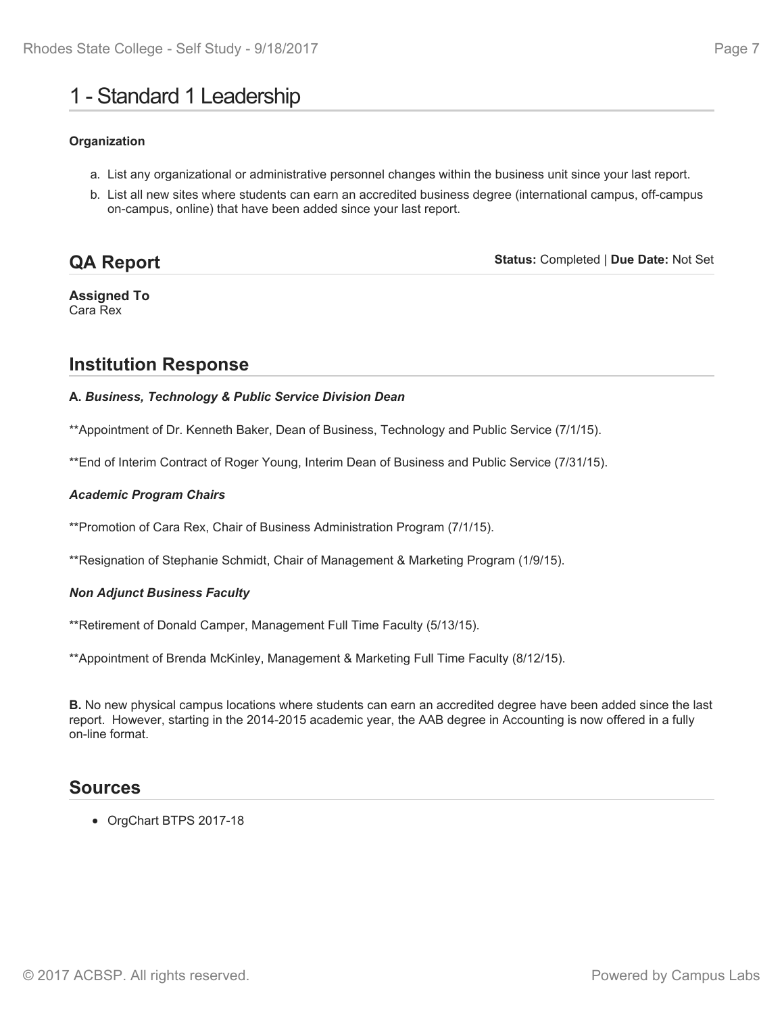# 1 - Standard 1 Leadership

### **Organization**

- a. List any organizational or administrative personnel changes within the business unit since your last report.
- b. List all new sites where students can earn an accredited business degree (international campus, off-campus on-campus, online) that have been added since your last report.

#### **Status:** Completed | **Due Date:** Not Set **QA Report**

**Assigned To** Cara Rex

# **Institution Response**

### **A.** *Business, Technology & Public Service Division Dean*

\*\*Appointment of Dr. Kenneth Baker, Dean of Business, Technology and Public Service (7/1/15).

\*\*End of Interim Contract of Roger Young, Interim Dean of Business and Public Service (7/31/15).

### *Academic Program Chairs*

\*\*Promotion of Cara Rex, Chair of Business Administration Program (7/1/15).

\*\*Resignation of Stephanie Schmidt, Chair of Management & Marketing Program (1/9/15).

### *Non Adjunct Business Faculty*

\*\*Retirement of Donald Camper, Management Full Time Faculty (5/13/15).

\*\*Appointment of Brenda McKinley, Management & Marketing Full Time Faculty (8/12/15).

**B.** No new physical campus locations where students can earn an accredited degree have been added since the last report. However, starting in the 2014-2015 academic year, the AAB degree in Accounting is now offered in a fully on-line format.

### **Sources**

OrgChart BTPS 2017-18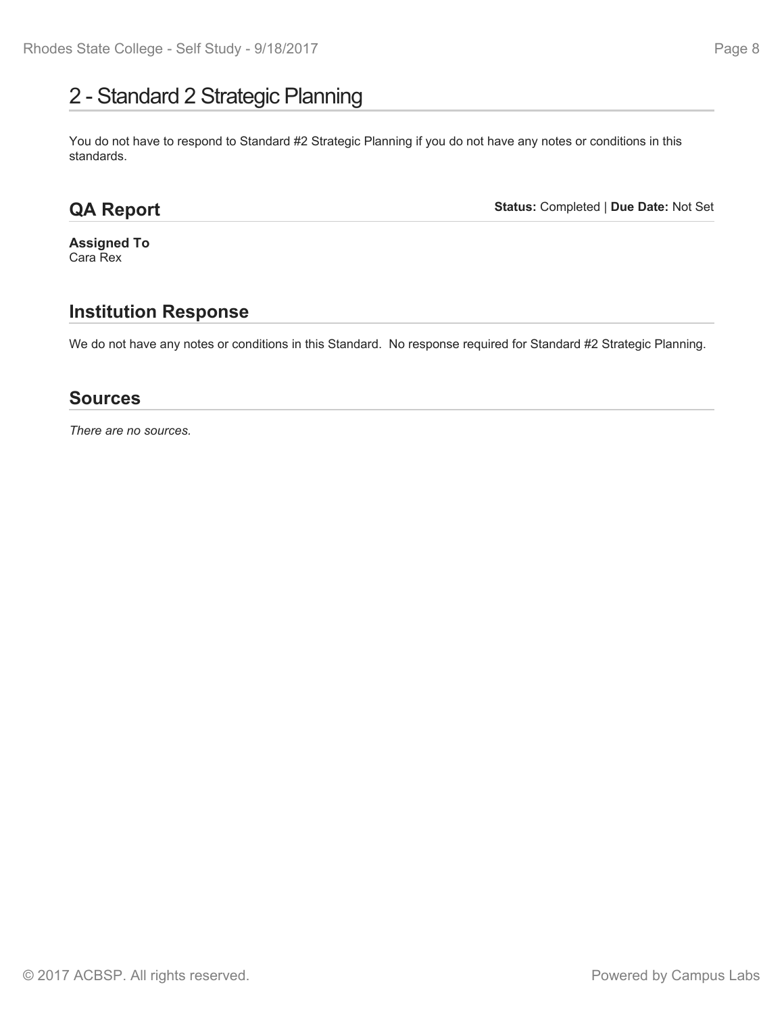# 2 - Standard 2 Strategic Planning

You do not have to respond to Standard #2 Strategic Planning if you do not have any notes or conditions in this standards.

# **QA Report**

**Status:** Completed | **Due Date:** Not Set

**Assigned To** Cara Rex

# **Institution Response**

We do not have any notes or conditions in this Standard. No response required for Standard #2 Strategic Planning.

### **Sources**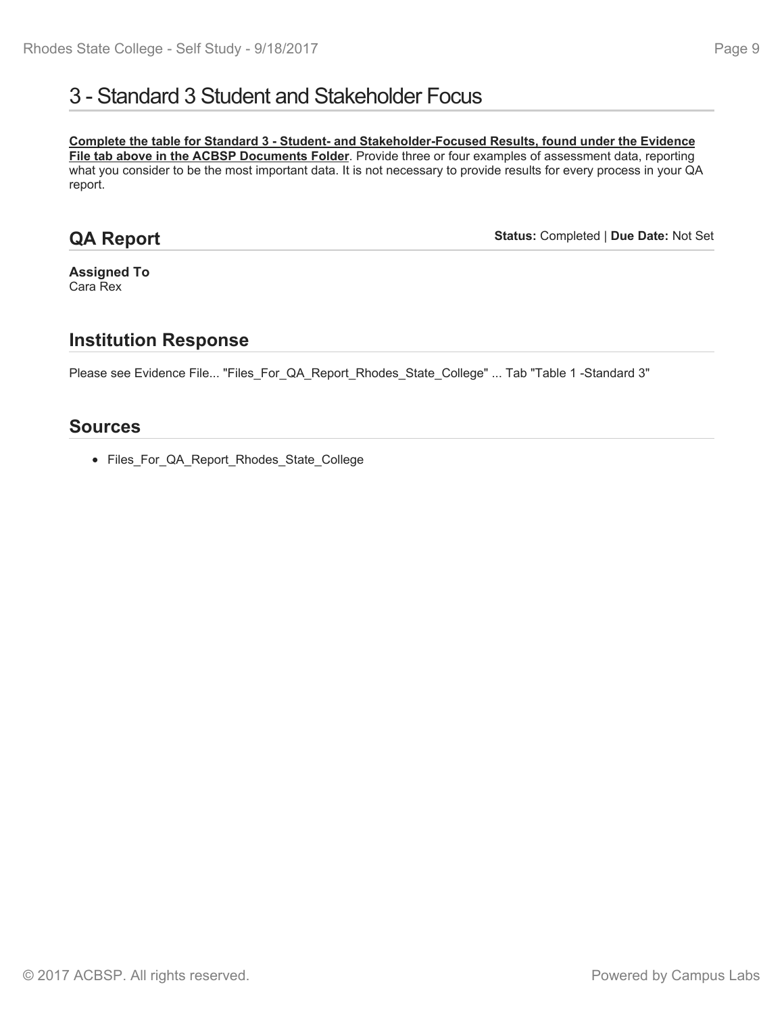# 3 - Standard 3 Student and Stakeholder Focus

**Complete the table for Standard 3 - Student- and Stakeholder-Focused Results, found under the Evidence File tab above in the ACBSP Documents Folder**. Provide three or four examples of assessment data, reporting what you consider to be the most important data. It is not necessary to provide results for every process in your QA report.

## **QA Report**

**Status:** Completed | **Due Date:** Not Set

**Assigned To** Cara Rex

### **Institution Response**

Please see Evidence File... "Files\_For\_QA\_Report\_Rhodes\_State\_College" ... Tab "Table 1 -Standard 3"

### **Sources**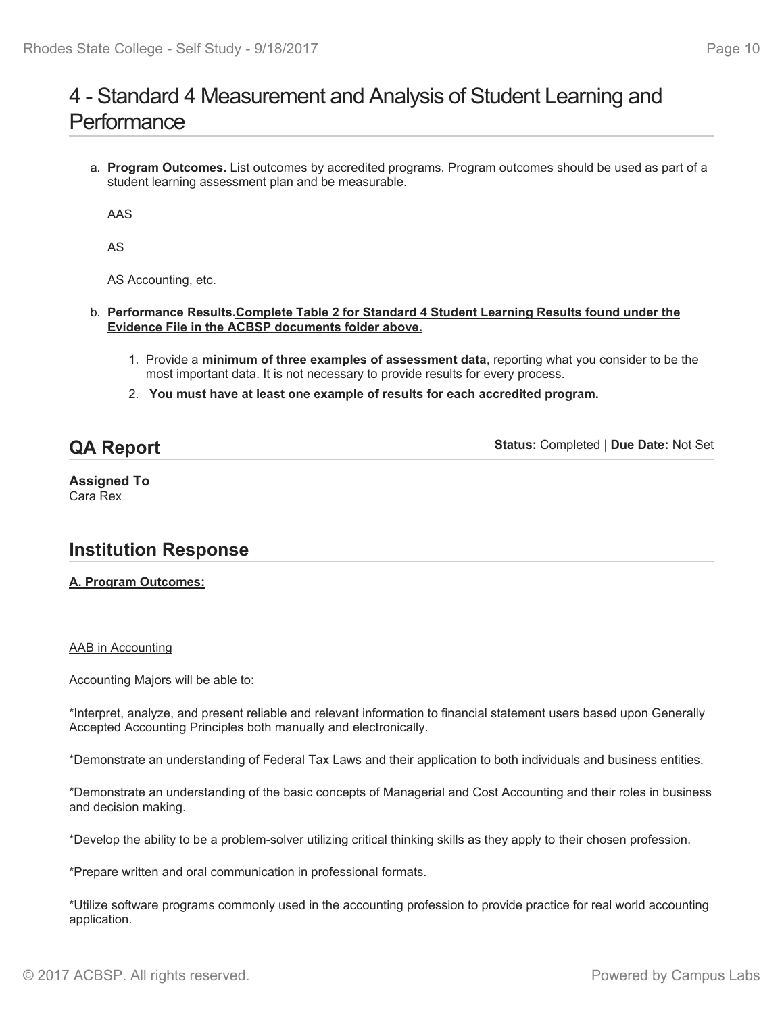# 4 - Standard 4 Measurement and Analysis of Student Learning and **Performance**

a. **Program Outcomes.** List outcomes by accredited programs. Program outcomes should be used as part of a student learning assessment plan and be measurable.

AAS

AS

AS Accounting, etc.

- b. **Performance Results.Complete Table 2 for Standard 4 Student Learning Results found under the Evidence File in the ACBSP documents folder above.**
	- 1. Provide a **minimum of three examples of assessment data**, reporting what you consider to be the most important data. It is not necessary to provide results for every process.
	- 2. **You must have at least one example of results for each accredited program.**

## **QA Report**

**Status:** Completed | **Due Date:** Not Set

**Assigned To** Cara Rex

## **Institution Response**

### **A. Program Outcomes:**

### AAB in Accounting

Accounting Majors will be able to:

\*Interpret, analyze, and present reliable and relevant information to financial statement users based upon Generally Accepted Accounting Principles both manually and electronically.

\*Demonstrate an understanding of Federal Tax Laws and their application to both individuals and business entities.

\*Demonstrate an understanding of the basic concepts of Managerial and Cost Accounting and their roles in business and decision making.

\*Develop the ability to be a problem-solver utilizing critical thinking skills as they apply to their chosen profession.

\*Prepare written and oral communication in professional formats.

\*Utilize software programs commonly used in the accounting profession to provide practice for real world accounting application.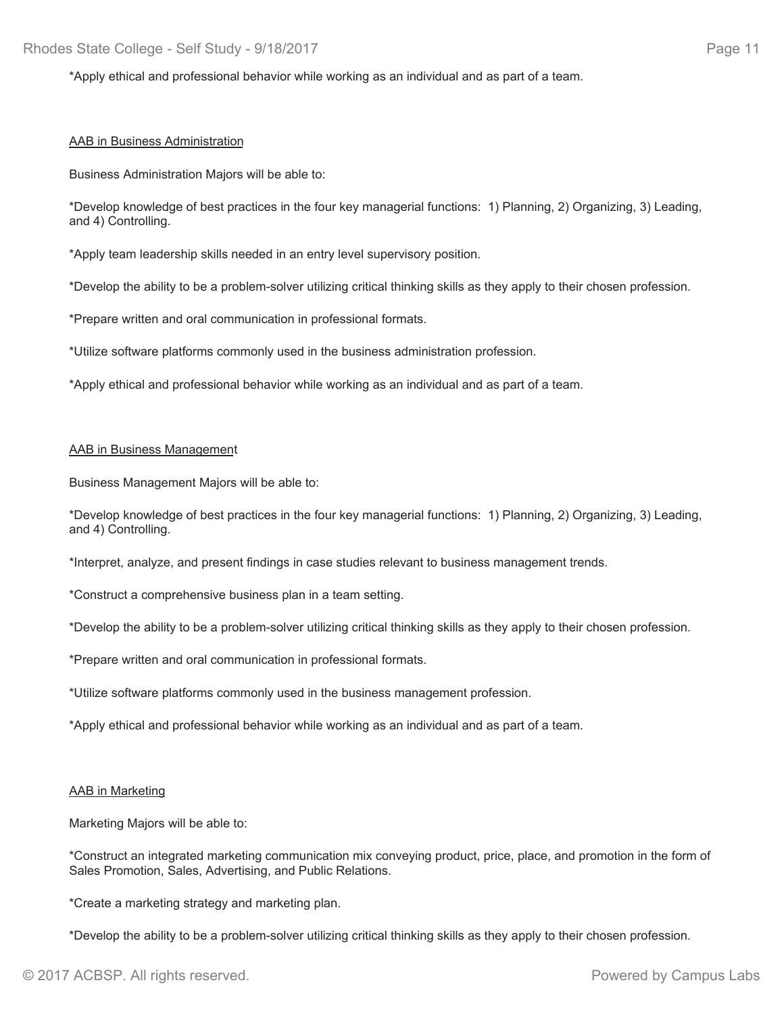\*Apply ethical and professional behavior while working as an individual and as part of a team.

#### AAB in Business Administration

Business Administration Majors will be able to:

\*Develop knowledge of best practices in the four key managerial functions: 1) Planning, 2) Organizing, 3) Leading, and 4) Controlling.

\*Apply team leadership skills needed in an entry level supervisory position.

\*Develop the ability to be a problem-solver utilizing critical thinking skills as they apply to their chosen profession.

\*Prepare written and oral communication in professional formats.

\*Utilize software platforms commonly used in the business administration profession.

\*Apply ethical and professional behavior while working as an individual and as part of a team.

#### AAB in Business Management

Business Management Majors will be able to:

\*Develop knowledge of best practices in the four key managerial functions: 1) Planning, 2) Organizing, 3) Leading, and 4) Controlling.

\*Interpret, analyze, and present findings in case studies relevant to business management trends.

\*Construct a comprehensive business plan in a team setting.

\*Develop the ability to be a problem-solver utilizing critical thinking skills as they apply to their chosen profession.

\*Prepare written and oral communication in professional formats.

\*Utilize software platforms commonly used in the business management profession.

\*Apply ethical and professional behavior while working as an individual and as part of a team.

#### AAB in Marketing

Marketing Majors will be able to:

\*Construct an integrated marketing communication mix conveying product, price, place, and promotion in the form of Sales Promotion, Sales, Advertising, and Public Relations.

\*Create a marketing strategy and marketing plan.

\*Develop the ability to be a problem-solver utilizing critical thinking skills as they apply to their chosen profession.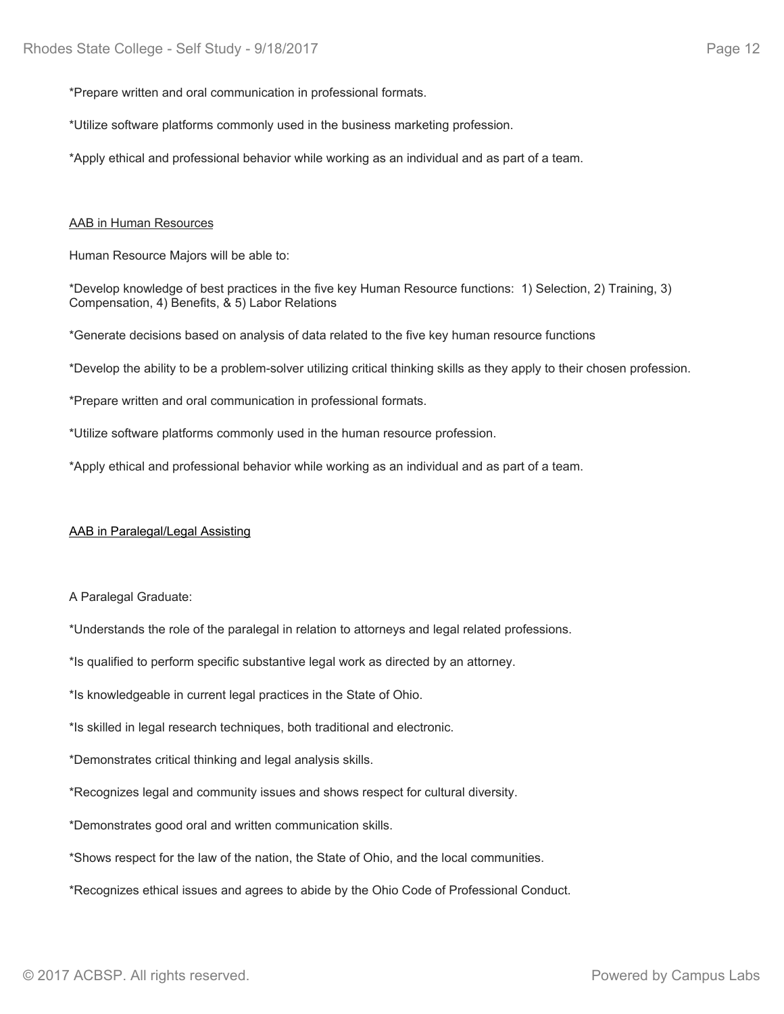\*Prepare written and oral communication in professional formats.

\*Utilize software platforms commonly used in the business marketing profession.

\*Apply ethical and professional behavior while working as an individual and as part of a team.

### AAB in Human Resources

Human Resource Majors will be able to:

\*Develop knowledge of best practices in the five key Human Resource functions: 1) Selection, 2) Training, 3) Compensation, 4) Benefits, & 5) Labor Relations

\*Generate decisions based on analysis of data related to the five key human resource functions

\*Develop the ability to be a problem-solver utilizing critical thinking skills as they apply to their chosen profession.

\*Prepare written and oral communication in professional formats.

\*Utilize software platforms commonly used in the human resource profession.

\*Apply ethical and professional behavior while working as an individual and as part of a team.

### AAB in Paralegal/Legal Assisting

A Paralegal Graduate:

\*Understands the role of the paralegal in relation to attorneys and legal related professions.

\*Is qualified to perform specific substantive legal work as directed by an attorney.

\*Is knowledgeable in current legal practices in the State of Ohio.

\*Is skilled in legal research techniques, both traditional and electronic.

\*Demonstrates critical thinking and legal analysis skills.

\*Recognizes legal and community issues and shows respect for cultural diversity.

\*Demonstrates good oral and written communication skills.

\*Shows respect for the law of the nation, the State of Ohio, and the local communities.

\*Recognizes ethical issues and agrees to abide by the Ohio Code of Professional Conduct.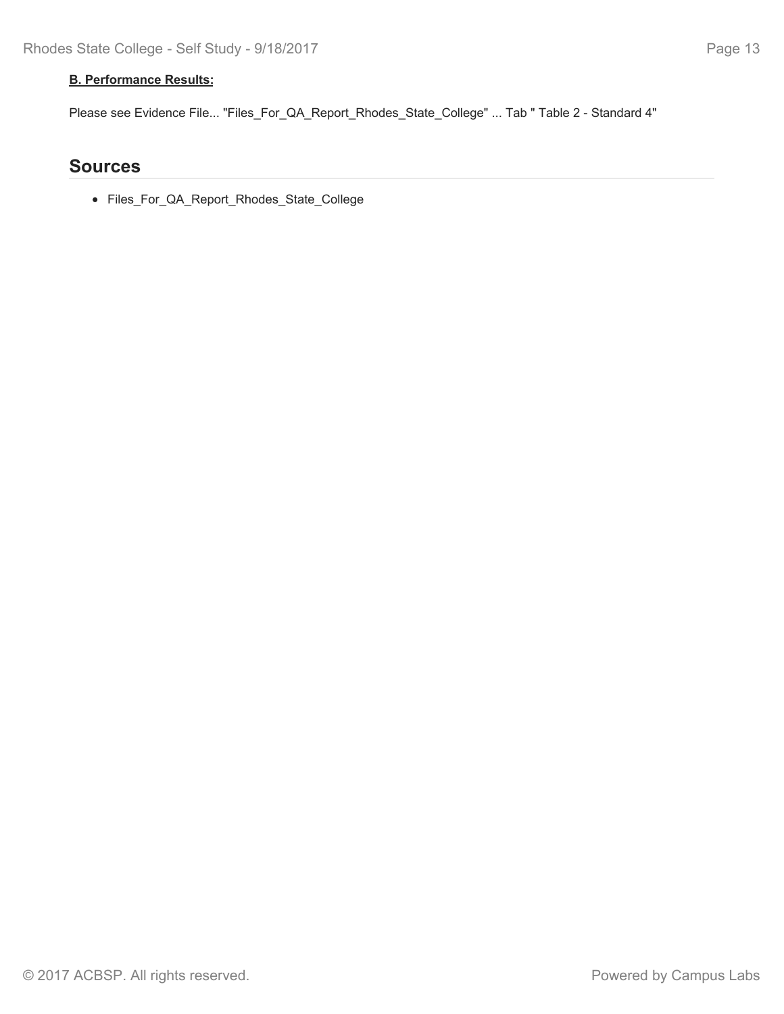### **B. Performance Results:**

Please see Evidence File... "Files\_For\_QA\_Report\_Rhodes\_State\_College" ... Tab " Table 2 - Standard 4"

## **Sources**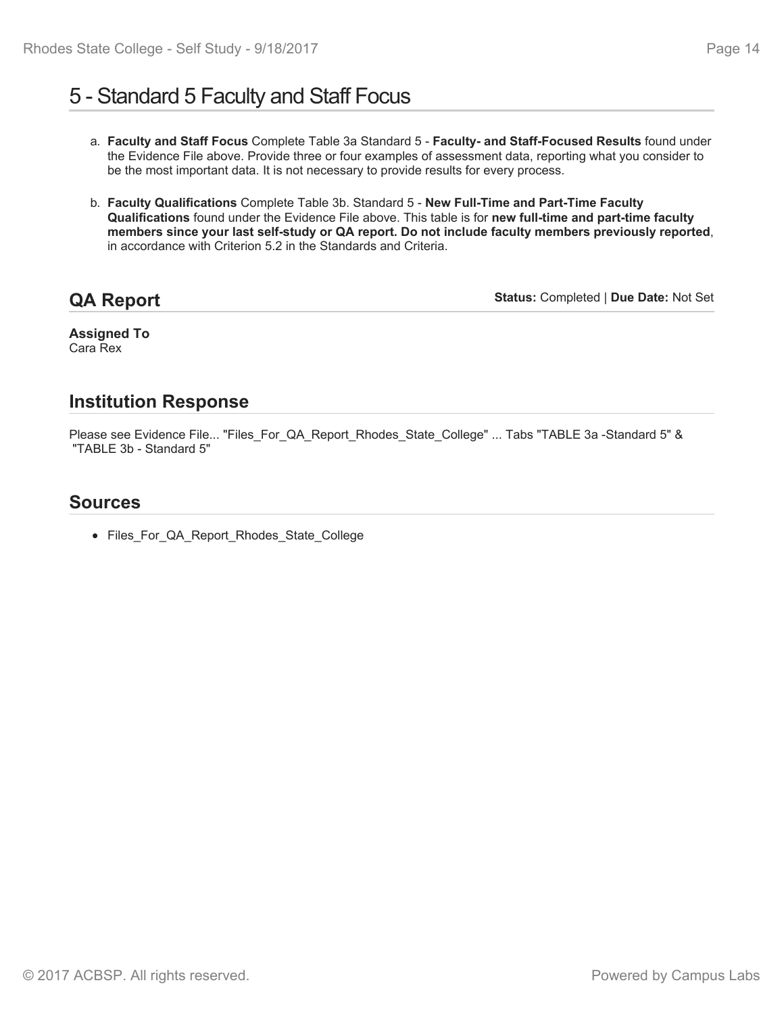# 5 - Standard 5 Faculty and Staff Focus

- a. **Faculty and Staff Focus** Complete Table 3a Standard 5 **Faculty- and Staff-Focused Results** found under the Evidence File above. Provide three or four examples of assessment data, reporting what you consider to be the most important data. It is not necessary to provide results for every process.
- b. **Faculty Qualifications** Complete Table 3b. Standard 5 **New Full-Time and Part-Time Faculty Qualifications** found under the Evidence File above. This table is for **new full-time and part-time faculty members since your last self-study or QA report. Do not include faculty members previously reported**, in accordance with Criterion 5.2 in the Standards and Criteria.

**QA Report**

**Status:** Completed | **Due Date:** Not Set

**Assigned To** Cara Rex

# **Institution Response**

Please see Evidence File... "Files\_For\_QA\_Report\_Rhodes\_State\_College" ... Tabs "TABLE 3a -Standard 5" & "TABLE 3b - Standard 5"

# **Sources**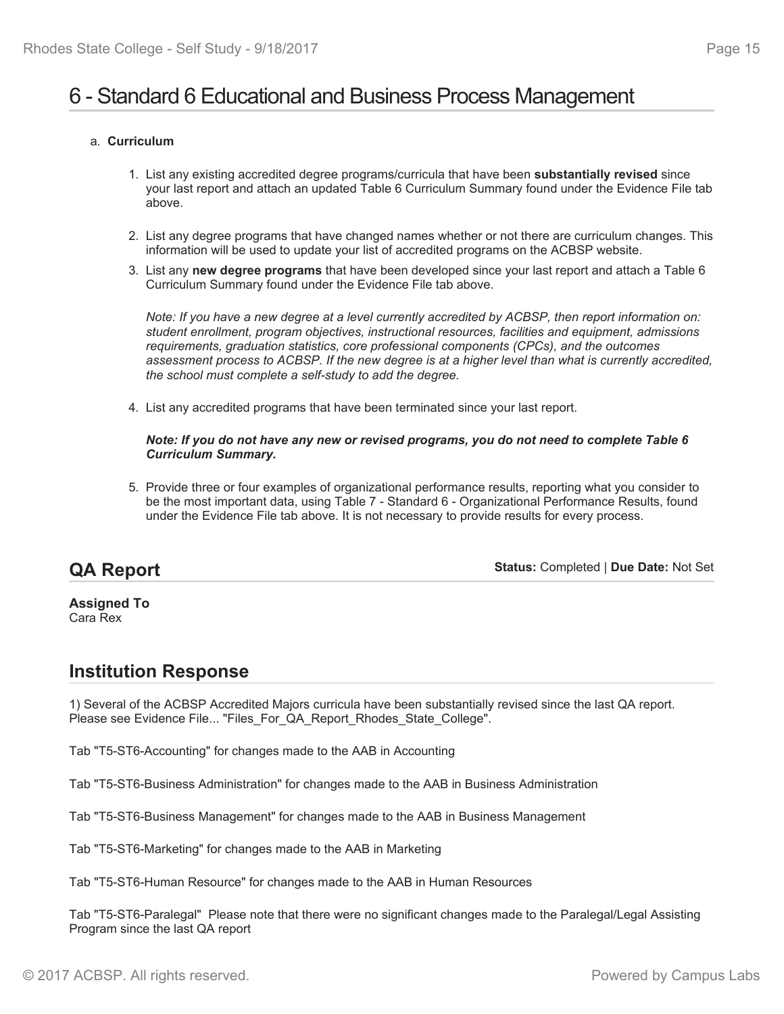# 6 - Standard 6 Educational and Business Process Management

### a. **Curriculum**

- 1. List any existing accredited degree programs/curricula that have been **substantially revised** since your last report and attach an updated Table 6 Curriculum Summary found under the Evidence File tab above.
- 2. List any degree programs that have changed names whether or not there are curriculum changes. This information will be used to update your list of accredited programs on the ACBSP website.
- 3. List any **new degree programs** that have been developed since your last report and attach a Table 6 Curriculum Summary found under the Evidence File tab above.

*Note: If you have a new degree at a level currently accredited by ACBSP, then report information on: student enrollment, program objectives, instructional resources, facilities and equipment, admissions requirements, graduation statistics, core professional components (CPCs), and the outcomes assessment process to ACBSP. If the new degree is at a higher level than what is currently accredited, the school must complete a self-study to add the degree.*

4. List any accredited programs that have been terminated since your last report.

*Note: If you do not have any new or revised programs, you do not need to complete Table 6 Curriculum Summary.*

5. Provide three or four examples of organizational performance results, reporting what you consider to be the most important data, using Table 7 - Standard 6 - Organizational Performance Results, found under the Evidence File tab above. It is not necessary to provide results for every process.

# **QA Report**

**Status:** Completed | **Due Date:** Not Set

#### **Assigned To** Cara Rex

## **Institution Response**

1) Several of the ACBSP Accredited Majors curricula have been substantially revised since the last QA report. Please see Evidence File... "Files\_For\_QA\_Report\_Rhodes\_State\_College".

Tab "T5-ST6-Accounting" for changes made to the AAB in Accounting

Tab "T5-ST6-Business Administration" for changes made to the AAB in Business Administration

Tab "T5-ST6-Business Management" for changes made to the AAB in Business Management

Tab "T5-ST6-Marketing" for changes made to the AAB in Marketing

Tab "T5-ST6-Human Resource" for changes made to the AAB in Human Resources

Tab "T5-ST6-Paralegal" Please note that there were no significant changes made to the Paralegal/Legal Assisting Program since the last QA report